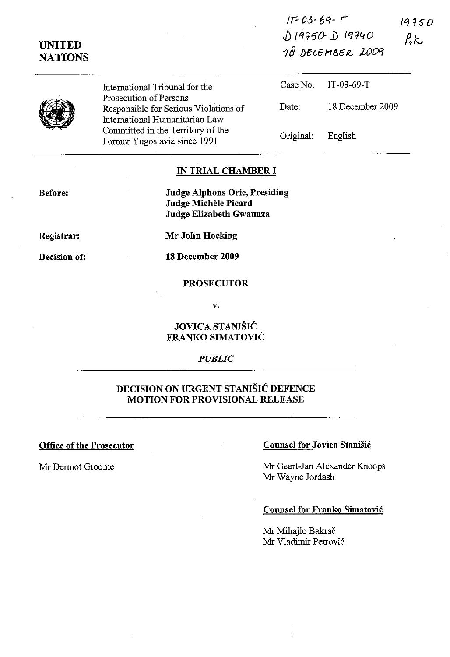$IF-03-69-T$  $19750$ J) IQt5"O-]) *Wl40*   $Rk$ 18 DECEMBER 2009

|  | International Tribunal for the                                                                      |           | Case No. $IT-03-69-T$ |
|--|-----------------------------------------------------------------------------------------------------|-----------|-----------------------|
|  | Prosecution of Persons<br>Responsible for Serious Violations of                                     | Date:     | 18 December 2009      |
|  | International Humanitarian Law<br>Committed in the Territory of the<br>Former Yugoslavia since 1991 | Original: | English               |

## **IN TRIAL CHAMBER 1**

**Before:** 

**UNITED NATIONS** 

> **Judge Alphons Orie, Presiding Judge Michèle Picard Judge Elizabeth Gwaunza**

**Registrar:** 

**Mr John Hocking** 

**Decision of:** 

**18 December 2009** 

## **PROSECUTOR**

v.

## **JOVICA STANISlé FRANKO SIMATOVlé**

## *PUBLIC*

# **DECISION ON URGENT STANISlé DEFENCE MOTION FOR PROVISIONAL RELEASE**

## **Office of the Prosecutor Counsel for Jovica Stanisić**

Mr Dermot Groome Mr Geert-Jan Alexander Knoops Mr Wayne Jordash

#### **Counsel for Franko Simatovié**

Mr Mihajlo Bakrač Mr Vladimir Petrovié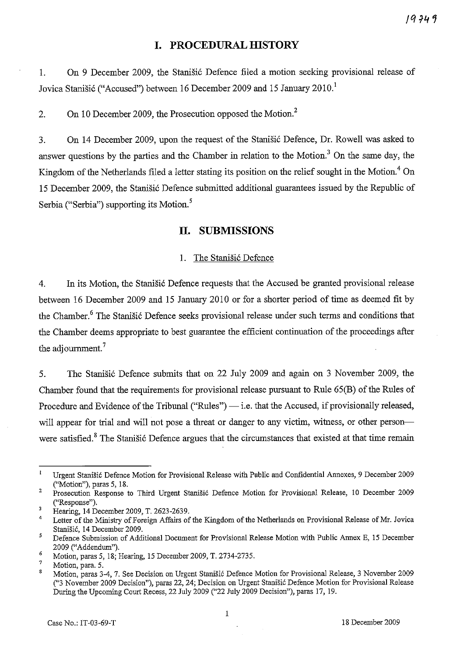# **I. PROCEDURAL HISTORY**

1. On 9 December 2009, the Stanisié Defence filed a motion seeking provisional release of Jovica Stanišić ("Accused") between 16 December 2009 and 15 January 2010.<sup>1</sup>

2. On 10 December 2009, the Prosecution opposed the Motion.<sup>2</sup>

3. On 14 Deeember 2009, upon the request of the Stanisié Defenee, Dr. Rowell was asked to answer questions by the parties and the Chamber in relation to the Motion.<sup>3</sup> On the same day, the Kingdom of the Netherlands filed a letter stating its position on the relief sought in the Motion.<sup>4</sup> On 15 Deeember 2009, the Stanisié Defenee submitted additional guarantees issued by the Republie of Serbia ("Serbia") supporting its Motion.<sup>5</sup>

## **II. SUBMlSSIONS**

#### 1. The Stanisié Defenee

4. In its Motion, the Stanisié Defenee requests that the Aeeused be granted provisional release between 16 Deeember 2009 and 15 January 2010 or for a shorter period of time as deemed fit by the Chamber.<sup>6</sup> The Stanisić Defence seeks provisional release under such terms and conditions that the Chamber deems appropriate to best guarantee the efficient continuation of the proeeedings after the adjournment.<sup>7</sup>

5. The Stanisié Defenee submits that on 22 July 2009 and again on 3 November 2009, the Chamber found that the requirements for provisional release pursuant to Rule 65(B) of the Rules of Procedure and Evidence of the Tribunal ("Rules") - i.e. that the Accused, if provisionally released, will appear for trial and will not pose a threat or danger to any victim, witness, or other personwere satisfied.<sup>8</sup> The Stanišić Defence argues that the circumstances that existed at that time remain

 $\mathbf{i}$ Urgent Stanisié Defence Motion for Provisional Release with Public and Confidential Annexes, 9 December 2009 ("Motion"), paras 5, 18.

<sup>2</sup>  Prosecution Response to Third Urgent Stanisié Defence Motion for Provisional Release, 10 December 2009 **("Response").** 

<sup>3</sup> Hearing, 14 December 2009, T. 2623-2639.

<sup>4</sup>  Letter of the Ministry of Foreign Affairs of the Kingdom of the Netherlands on Provisional Release of Mr. Jovica Stanisié, 14 December 2009.

<sup>5</sup>  Defence Submission of Additional Document for Provisional Release Motion with Public Annex E, 15 December 2009 ("Addendum").

<sup>6</sup>  Motion, paras 5, 18; Hearing, 15 December 2009, T. 2734-2735.

<sup>7</sup>  Motion, para. 5.

<sup>8</sup>  Motion, paras 3-4, 7. See Decision on Urgent Stanisié Defence Motion for Provisional Release, 3 November 2009 ("3 November 2009 Decision"), paras 22, 24; Decision on Urgent Stanisié Defence Motion for Provisional Release During the Upcoming Court Recess, 22 July 2009 ("22 July 2009 Decision"), paras 17, 19.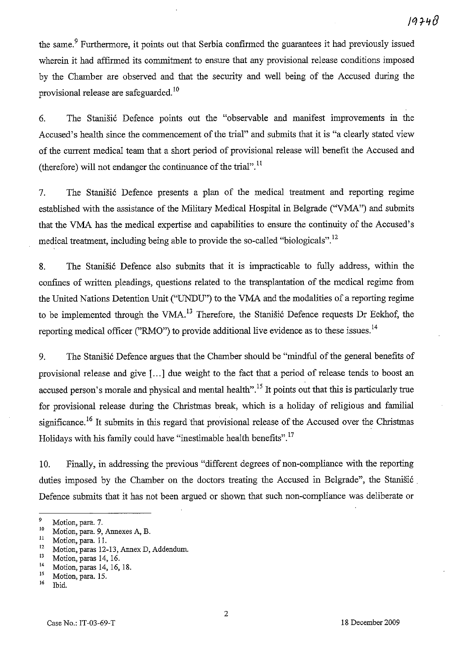the same.<sup>9</sup> Furthermore, it points out that Serbia confirmed the guarantees it had previously issued wherein it had affirmed its commitment to ensure that any provisional release conditions imposed by the Chamber are observed and that the security and weIl being of the Accused during the provisional release are safeguarded. <sup>10</sup>

6. The Stanisié Defence points out the "observable and manifest improvements in the Accused's health since the commencement of the trial" and submits that it is "a clearly stated view of the current medical team that a short period of provisional release will benefit the Accused and (therefore) will not endanger the continuance of the trial".<sup>11</sup>

7. The Stanisic Defence presents a plan of the medical treatment and reporting regime established with the assistance of the Military Medical Hospital in Belgrade ("VMA") and submits that the VMA has the medical expertise and capabilities to ensure the continuity of the Accused's medical treatment, including being able to provide the so-called "biologicals".<sup>12</sup>

8. The Stanisié Defence also submits that it is impracticable to fully address, within the confines of written pleadings, questions related to the transplantation of the medical regime from the United Nations Detention Unit ("UNDU") to the VMA and the modalities of a reporting regime to be implemented through the VMA.<sup>13</sup> Therefore, the Stanisić Defence requests Dr Eekhof, the reporting medical officer ("RMO") to provide additional live evidence as to these issues.<sup>14</sup>

9. The Stanisié Defence argues that the Chamber should be "mindful of the general benefits of provisional release and give [ ... ] due weight to the fact that a period of release tends to boost an accused person's morale and physical and mental health<sup> $\cdot$ 15</sup>. It points out that this is particularly true for provisional release during the Christmas break, which is a holiday of religious and familial significance.<sup>16</sup> It submits in this regard that provisional release of the Accused over the Christmas Holidays with his family could have "inestimable health benefits".<sup>17</sup>

1 O. Finally, in addressing the previous "different degrees of non-compliance with the reporting duties imposed by the Chamber on the doctors treating the Accused in Belgrade", the Stanisié . Defence submits that it has not been argued or shown that such non-compliance was deliberate or

Ibid.

<sup>&</sup>lt;sup>9</sup> Motion, para. 7.

**<sup>10</sup>Motion, para. 9, Annexes A, B.** 

 $\frac{11}{12}$  Motion, para. 11.

<sup>&</sup>lt;sup>12</sup> Motion, paras 12-13, Annex D, Addendum.

 $\frac{13}{14}$  Motion, paras 14, 16.

<sup>&</sup>lt;sup>14</sup> Motion, paras 14, 16, 18.<br><sup>15</sup> Motion, para 15.

 $^{15}$  Motion, para. 15.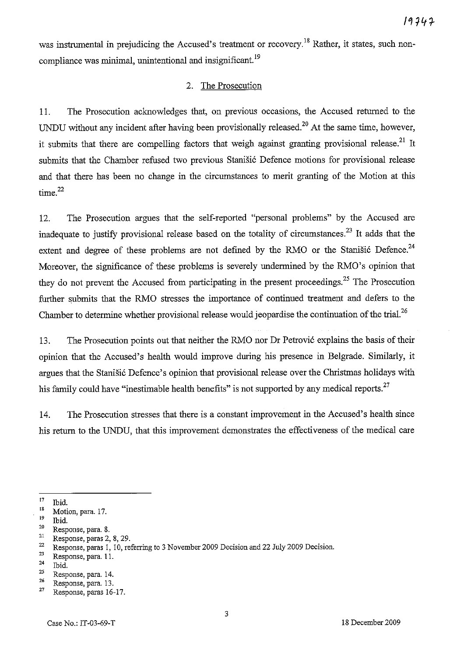was instrumental in prejudicing the Accused's treatment or recovery.<sup>18</sup> Rather, it states, such noncompliance was minimal, unintentional and insignificant.<sup>19</sup>

## 2. The Prosecution

Il. The Prosecution acknowledges that, on previous occasions, the Accused returned to the UNDU without any incident after having been provisionally released.2o At the same time, however, it submits that there are compelling factors that weigh against granting provisional release.<sup>21</sup> It submits that the Chamber refused two previous Stanisié Defence motions for provisional release and that there has been no change in the circumstances to merit granting of the Motion at this  $time<sup>22</sup>$ 

12. The Prosecution argnes that the self-reported "personal problems" by the Accused are inadequate to justify provisional release based on the totality of circumstances.<sup>23</sup> It adds that the extent and degree of these problems are not defined by the RMO or the Stanišić Defence.<sup>24</sup> Moreover, the significance of these problems is severely undermined by the RMO's opinion that they do not prevent the Accused from participating in the present proceedings.<sup>25</sup> The Prosecution further submits that the RMO stresses the importance of continued treatment and defers to the Chamber to determine whether provisional release would jeopardise the continuation of the trial.<sup>26</sup>

13. The Prosecution points out that neither the RMO nor Dr Petrović explains the basis of their opinion that the Accused's health would improve during his presence in Belgrade. Similarly, it argues that the Stanisié Defence's opinion that provisional release over the Christmas holidays with his family could have "inestimable health benefits" is not supported by any medical reports. $27$ 

14. The Prosecution stresses that there is a constant improvement in the Accused's health since his return to the UNDU, that this improvement demonstrates the effectiveness of the medical care

 $\frac{21}{22}$  Response, paras 2, 8, 29.

- $\frac{23}{24}$  Response, para. 11.
- $\frac{24}{25}$  **Ibid.**
- $\frac{25}{26}$  Response, para. 14.
- **26 Response, para. 13.**
- Response, paras 16-17.

 $\frac{17}{18}$  Ibid.

 $\frac{18}{19}$  Motion, para. 17.

 $\frac{19}{20}$  Ibid.

 $\frac{20}{21}$  Response, para. 8.

<sup>&</sup>lt;sup>22</sup> Response, paras 1, 10, referring to 3 November 2009 Decision and 22 July 2009 Decision.<br><sup>23</sup> Personals para 11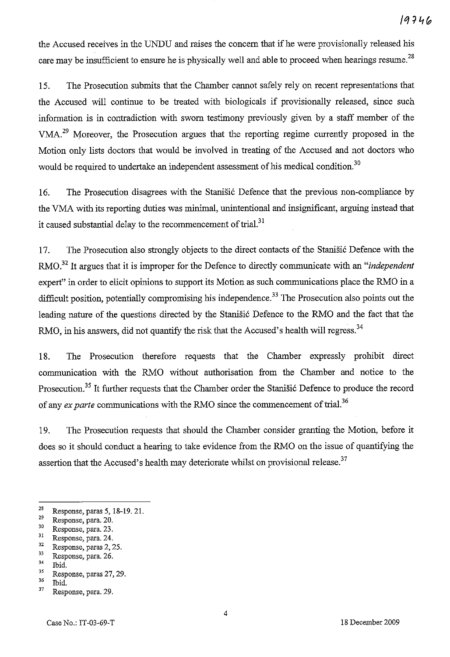the Accused receives in the UNDU and raises the concern that if he were provisionally released his care may be insufficient to ensure he is physically well and able to proceed when hearings resume.<sup>28</sup>

15. The Prosecution submits that the Charnber cannot safely rely on recent representations that the Accused will continue to be treated with biologicals if provisionally released, since such information is in contradiction with swom testimony previously given by a staff member of the VMA29 Moreover, the Prosecution argues that the reporting regime currently proposed in the Motion only lists doctors that would be involved in treating of the Accused and not doctors who would be required to undertake an independent assessment of his medical condition.<sup>30</sup>

16. The Prosecution disagrees with the Stanisié Defenee that the previous non-compliance by the VMA with its reporting duties was minimal, unintentional and insignificant, arguing instead that it caused substantial delay to the recommencement of trial. $31$ 

17. The Prosecution also strongly objects to the direct contacts of the Stanisié Defence with the RMO.<sup>32</sup> It argues that it is improper for the Defence to directly communicate with an *"independent*" expert" in order to elicit opinions to support its Motion as such communications place the RMO in a difficult position, potentially compromising his independence.<sup>33</sup> The Prosecution also points out the leading nature of the questions directed by the Stanisié Defence to the RMO and the fact that the RMO, in his answers, did not quantify the risk that the Accused's health will regress.<sup>34</sup>

18. The Prosecution therefore requests that the Charnber expressly prohibit direct communication with the RMO without authorisation from the Chamber and notice to the Prosecution.<sup>35</sup> It further requests that the Chamber order the Stanisić Defence to produce the record of any *ex parte* communications with the RMO since the commencement of trial.<sup>36</sup>

19. The Prosecution requests that should the Charnber consider granting the Motion, before it does so it should conduct a hearing to take evidenee from the RMO on the issue of quantifying the assertion that the Accused's health may deteriorate whilst on provisional release.<sup>37</sup>

- $\frac{33}{34}$  Response, para. 26.
- Ibid.
- $rac{35}{10}$  Response, paras 27, 29.
- $rac{36}{37}$  Ibid.

<sup>&</sup>lt;sup>28</sup> Response, paras 5, 18-19. 21.

 $\frac{29}{30}$  Response, para. 20.

 $30$  Response, para. 23.

 $\frac{31}{32}$  Response, para. 24.

 $\frac{32}{33}$  Response, paras 2, 25.

Response, para. 29.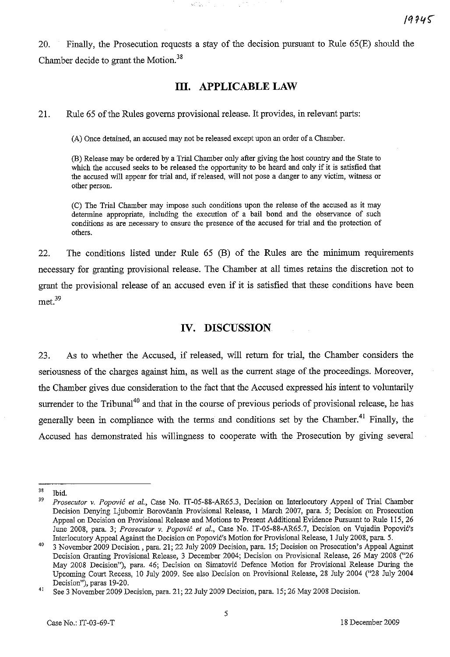20. Finally, the Prosecution requests a stay of the decision pursuant to Rule 65(E) should the Chamber decide to grant the Motion.<sup>38</sup>

 $\Delta\sim 10$ 

# **m. APPLICABLE LAW**

21. Rule 65 of the Rules govems provisional release. It provides, in relevant parts:

40 B. C

(A) Once detained, an accused may not be released except upon an order of a Chamber.

(B) Release may be ordered by a Trial Chamber only after giving the host country and the State to which the accused seeks to be released the opportunity to be heard and only if it is satislied that the accused will appear for trial and, if released, will not pose a danger to any victim, witness or other person.

(C) The Trial Chamber may impose such conditions upon the release of the accused as it may determine appropriate, including the execution of a bail bond and the observance of such conditions as are necessary to ensure the presence of the accused for trial and the protection of others.

22. The conditions listed under Rule 65 (B) of the Rules are the minimum requirements necessary for granting provisional release. The Chamber at ail times retains the discretion not to grant the provisional release of an accused even if it is satisfied that these conditions have been met.<sup>39</sup>

# IV. DISCUSSION

23. As to whether the Accused, if released, will return for trial, the Chamber considers the seriousness of the charges against him, as weil as the current stage of the proceedings. Moreover, the Chamber gives due consideration to the fact that the Accused expressed his intent to voluntarily surrender to the Tribunal<sup>40</sup> and that in the course of previous periods of provisional release, he has generally been in compliance with the terms and conditions set by the Chamber.<sup>41</sup> Finally, the Accused has demonstrated his willingness to cooperate with the Prosecution by giving several

**<sup>38</sup> Ibid.** 

*<sup>39</sup> Prosecutor v. Popovié et al.,* Case *No.* IT-05-88-AR65.3, Decision on Interlocutory Appeal of Trial Chamber Decision Denying Ljubomir Borovčanin Provisional Release, 1 March 2007, para. 5; Decision on Prosecution Appeal on Decision on Provisional Release and Motions to Present Additional Evidence Pursuant to Rule 115, 26 June 2008, para. 3; *Prosecutor v. Popovié et al.,* Case *No.* IT-05-88-AR65.7, Decision on Vujadin Popovié's Interlocutory Appeal Against the Decision on Popović's Motion for Provisional Release, 1 July 2008, para. 5.

<sup>40 3</sup> November 2009 Decision, para. 21; 22 July 2009 Decision, para. 15; Decision on Prosecution's Appeal Against Decision Granting Provisional Release, 3 December 2004; Decision on Provisional Release, 26 May 2008 ("26 May 2008 Decision"), para. 46; Decision on Simatovié Defence Motion for Provisional Release During the Upcoming Court Recess, 10 July 2009. See also Decision on Provisional Release, 28 July 2004 ("28 July 2004

Decision"), paras 19-20.<br><sup>41</sup> See 3 November 2009 Decision, para. 21; 22 July 2009 Decision, para. 15; 26 May 2008 Decision.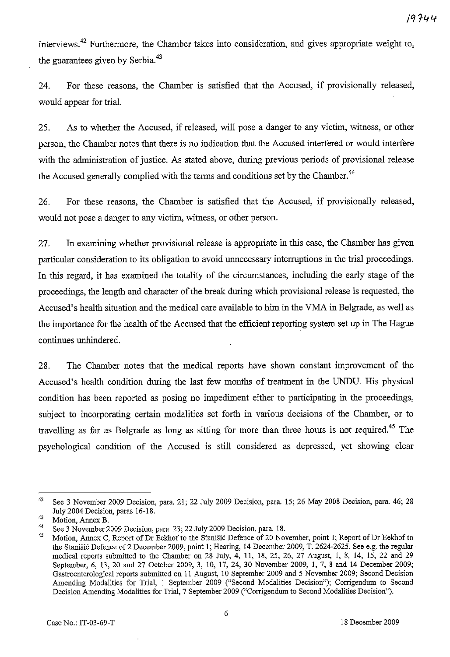interviews.<sup>42</sup> Furthermore, the Chamber takes into consideration, and gives appropriate weight to, the guarantees given by Serbia.<sup>43</sup>

24. For these reasons, the Chamber is satisfied that the Accused, if provisionally released, would appear for trial.

25. As to whether the Accused, if released, will pose a danger to any victim, witness, or other person, the Chamber notes that there is no indication that the Accused interfered or would interfere with the administration of justice. As stated above, during previous periods of provisional release the Accused generally complied with the terms and conditions set by the Chamber.<sup>44</sup>

26. For these reasons, the Chamber is satisfied that the Accused, if provisionally released, would not pose a danger to any victim, witness, or other person.

27. In examining whether provisional release is appropriate in this case, the Chamber has given particular consideration to its obligation to avoid unnecessary interruptions in the trial proceedings. In this regard, it has examined the totality of the circumstances, including the early stage of the proceedings, the length and character of the break during which provisional release is requested, the Accused's health situation and the medical care available to him in the VMA in Belgrade, as weil as the importance for the health of the Accused that the efficient reporting system set up in The Hague continues unhindered.

28. The Chamber notes that the medical reports have shown constant improvement of the Accused's health condition during the last few months of treatment in the UNDU. His physical condition has been reported as posing no impediment either to participating in the proceedings, subject to incorporating certain modalities set forth in various decisions of the Chamber, or to travelling as far as Belgrade as long as sitting for more than three hours is not required.<sup>45</sup> The psychological condition of the Accused is still considered as depressed, yet showing clear

<sup>42</sup> See 3 November 2009 Decision, para. 21; 22 July 2009 Decision, para. 15; 26 May 2008 Decision, para. 46; 28 July 2004 Decision, paras 16-18.

**<sup>43</sup> Motion, Annex B.** 

<sup>&</sup>lt;sup>44</sup> See 3 November 2009 Decision, para. 23; 22 July 2009 Decision, para. 18.<br><sup>45</sup> Metian Annay C. Benevt of Dr. Eskhaf to the Stanišić Defense of 20 No

Motion, Annex C, Report of Dr Eekhof to the Stanišić Defence of 20 November, point 1; Report of Dr Eekhof to the Stanišić Defence of 2 December 2009, point 1; Hearing, 14 December 2009, T. 2624-2625. See e.g. the regularmedical reports submitted to the Charnber on 28 July, 4, 11, 18, 25, 26, 27 August, l, 8, 14, 15, 22 and 29 September, 6, 13,20 and 27 October 2009, 3, 10, 17, 24, 30 November 2009, l, 7, 8 and 14 December 2009; Gastroenterological reports submitted on Il August, 10 September 2009 and 5 November 2009; Second Decision Amending Modalities for Trial, 1 September 2009 ("Second Modalities Decision"); Corrigendum to Second Decision Amending Modalities for Trial, 7 September 2009 ("Corrigendum to Second Modalities Decision").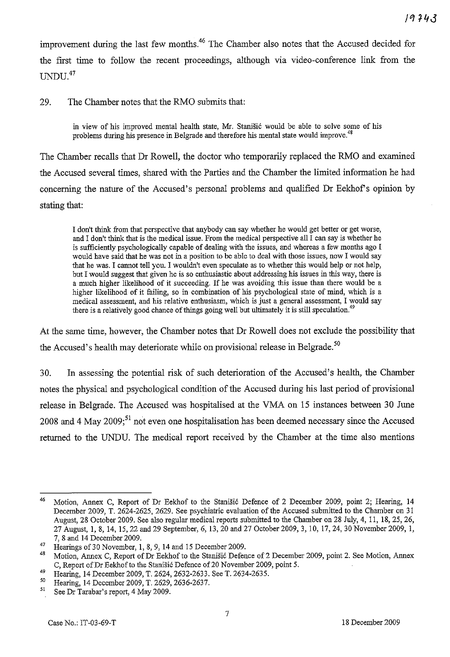improvement during the last few months.<sup>46</sup> The Chamber also notes that the Accused decided for the first time to follow the recent proceedings, although via video-conference link from the UNDU.<sup>47</sup>

29. The Chamber notes that the RMO submits that:

in view of his improved mental health state, Mr. Stanisié would be able to solve sorne of his problems during his presence in Belgrade and therefore his mental state would improve.<sup>48</sup>

The Chamber recalls that Dr Rowell, the doctor who temporarily replaced the RMO and examined the Accused several times, shared with the Parties and the Chamber the limited information he had concerning the nature of the Accused's personal problems and qualified Dr Eekhof's opinion by stating that:

1 don't think from that perspective that anybody can say whether he wonld get better or get worse, and 1 don't think that is the medical issue. From the medical perspective ail 1 can say is whether he is sufficiently psychologically capable of dealing with the issues, and whereas a few months ago I would have said that he was not in a position to be able to deal with those issues, now 1 would say that he was. 1 cannot tell you. 1 wouldn't even speculate as to whether this would help or not help, but 1 would snggest that given he is so enthusiastic about addressing his issues in this way, there is a much higher likelihood of it succeeding. If he was avoiding this issue than there would be a higher likelihood of it failing, so in combination of his psychological state of mind, which is a medical assessment, and his relative enthusiasm, which is just a general assessment, 1 would say there is a relatively good chance of things going well but ultimately it is still speculation.<sup>49</sup>

At the same time, however, the Chamber notes that Dr Rowell does not exclude the possibility that the Accused's health may deteriorate while on provisional release in Belgrade.<sup>50</sup>

30. In assessing the potential risk of such deterioration of the Accused's health, the Chamber notes the physical and psychological condition of the Accused during his last period of provisional release in Belgrade. The Accused was hospitalised at the VMA on 15 instances between 30 June 2008 and 4 May 2009;<sup>51</sup> not even one hospitalisation has been deemed necessary since the Accused returned to the UNDU. The medical report received by the Chamber at the time also mentions

<sup>&</sup>lt;sup>46</sup> Motion, Annex C, Report of Dr Eekhof to the Stanišić Defence of 2 December 2009, point 2; Hearing, 14 December 2009, T. 2624-2625, 2629. See psychiatrie evaluation of the Accused submitted to the Charnber on 31 Augnst, 28 October 2009. See aIso regnlar medical reports submitted to the Charnber on 28 July, 4, Il, 18,25,26, 27 Augnst, **l,** 8, 14, 15,22 and 29 September, 6, 13,20 and 27 October 2009, 3, 10, 17,24, 30 November 2009, **l,**  7, 8 and 14 December 2009.

<sup>47</sup> Hearings of30 November, **1,8,9,14** and 15 December 2009.

Motion, Annex C, Report of Dr Eekhof to the Stanisić Defence of 2 December 2009, point 2. See Motion, Annex C, Report of Dr Eekhof to the Stanišić Defence of 20 November 2009, point 5.

<sup>49</sup> Hearing, 14 December 2009, T. 2624, 2632-2633. See T. 2634-2635.

<sup>&</sup>lt;sup>50</sup> Hearing, 14 December 2009, T. 2629, 2636-2637.<br>
See Dr. Tarabar's report 4 May 2009.

See Dr Tarabar's report, 4 May 2009.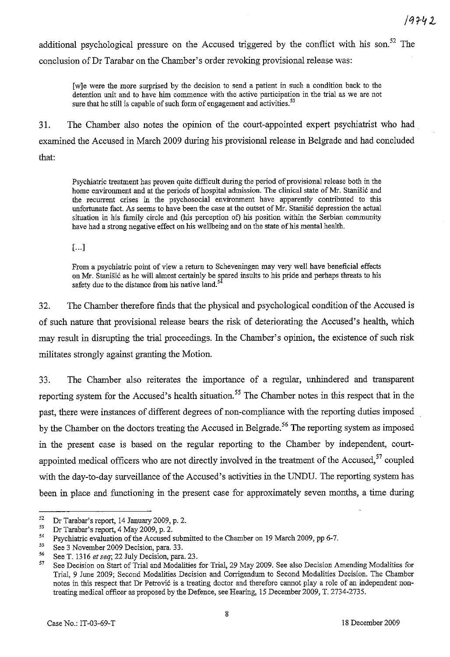additional psychological pressure on the Accused triggered by the conflict with his son.<sup>52</sup> The conclusion of Dr Tarabar on the Chamber's order revoking provisional release was:

[w]e were the more surprised by the decision to send a patient in such a condition back to the detention unit and to have him commence with the active participation in the trial as we are not sure that he still is capable of such form of engagement and activities.<sup>53</sup>

31. The Charnber also notes the opinion of the court-appointed expert psychiatrist who had . exarnined the Accused in March 2009 during his provisional release in Belgrade and had concluded that:

Psychiatric treatment has proven quite difficult during the period of provisional release both in the home environment and at the periods of hospital admission. The clinical state of Mr. StaniSié and the recurrent crises in the psychosocial environment have apparently contribnted to this unfortnnate fact. As seems to have been the case at the ontset ofMr. Stanisié depression the actual situation in his family circle and (his perception of) his position within the Serbian community have had a strong negative effect on his wellbeing and on the state of his mental health.

[ ... ]

From a psychiatrie point of view a return to Scheveningen may very weil have beneficial effects on Mr. StaniSié as he will almost certainly be spared insults to his pride and perhaps fureats to his safety due to the distance from his native land.<sup>54</sup>

32. The Charnber therefore finds that the physical and psychological condition of the Accused is of such nature that provisional release bears the risk of deteriorating the Accused's health, which may result in disrupting the trial proceedings. In the Chamber's opinion, the existence of such risk militates strongly against granting the Motion.

33. The Charnber also reiterates the importance of a regular, unhindered and transparent reporting system for the Accused's health situation.<sup>55</sup> The Chamber notes in this respect that in the past, there were instances of different degrees of non-compliance with the reporting duties imposed by the Chamber on the doctors treating the Accused in Belgrade.<sup>56</sup> The reporting system as imposed in the present case is based on the regular reporting to the Charnber by independent, courtappointed medical officers who are not directly involved in the treatment of the Accused,<sup>57</sup> coupled with the day-to-day surveillance of the Accused's activities in the UNDU. The reporting system has been in place and functioning in the present case for approximately seven months, a time during

<sup>&</sup>lt;sup>52</sup> Dr Tarabar's report, 14 January 2009, p. 2.<br> $\frac{53}{2}$  De Tarabarta report 4 May 2009, p. 2.

 $^{53}$  Dr Tarabar's report, 4 May 2009, p. 2.

<sup>&</sup>lt;sup>54</sup> Psychiatric evaluation of the Accused submitted to the Chamber on 19 March 2009, pp 6-7.<br> $\frac{55}{2}$  See 2 Maxweller 2000 Design name 22.

 $^{55}$  See 3 November 2009 Decision, para. 33.<br> $^{56}$  See T, 1216 of aggr 22 July Decision, para.

 $^{56}$  See T. 1316 *et seq*; 22 July Decision, para. 23.

<sup>57</sup> See Decision on Start of Trial and Modalities for Trial, 29 May 2009. See also Decision Amending Modalities for Trial, 9 June 2009; Second Modalities Decision and Corrigendum to Second Modalities Decision. The Charnber notes in this respect that Dr Petrovié is a treating doctor and therefore cannot play a role of an independent nontreating medical officer as proposed by the Defence, see Hearing, 15 December 2009, T. 2734-2735.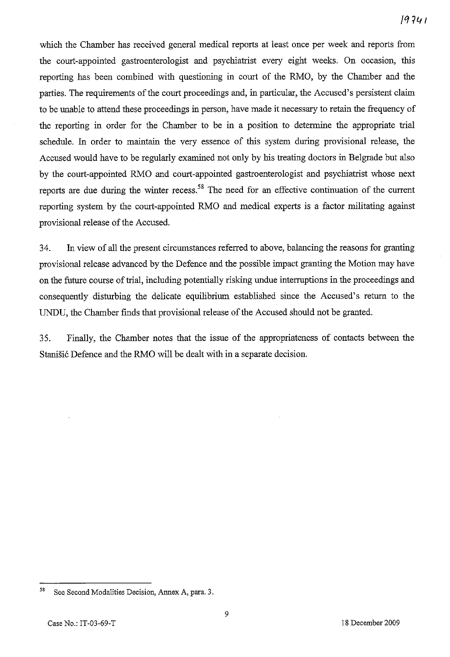which the Chamber has received general medical reports at least once per week and reports from the court-appointed gastroenterologist and psychiatrist every eight weeks. On occasion, this reporting has been combined with questioning in court of the RMO, by the Chamber and the parties. The requirements of the court proceedings and, in particular, the Accused's persistent claim to be unable to attend these proceedings in person, have made it necessary to retain the frequency of the reporting in order for the Chamber to be in a position to determine the appropriate trial schedule. In order to maintain the very essence of this system during provisional release, the Accused would have to be regularly examined not only by his treating doctors in Belgrade but also by the court-appointed RMO and court-appointed gastroenterologist and psychiatrist whose next reports are due during the winter recess.<sup>58</sup> The need for an effective continuation of the current reporting system by the court-appointed RMO and medical experts is a factor militating against provisional release of the Accused.

34. In view of all the present circumstances referred to above, balancing the reasons for granting provisional release advanced by the Defence and the possible impact granting the Motion may have on the future course of trial, including potentially risking undue interruptions in the proceedings and consequently disturbing the delicate equilibrium established since the Accused's return to the UNDU, the Chamber finds that provisional release of the Accused should not be granted.

35. Finally, the Chamber notes that the issue of the appropriateness of contacts between the Stanisié Defence and the RMO will be dealt with in a separate decision.

<sup>58</sup> See Second Modalities Decision, Annex A, para. 3.